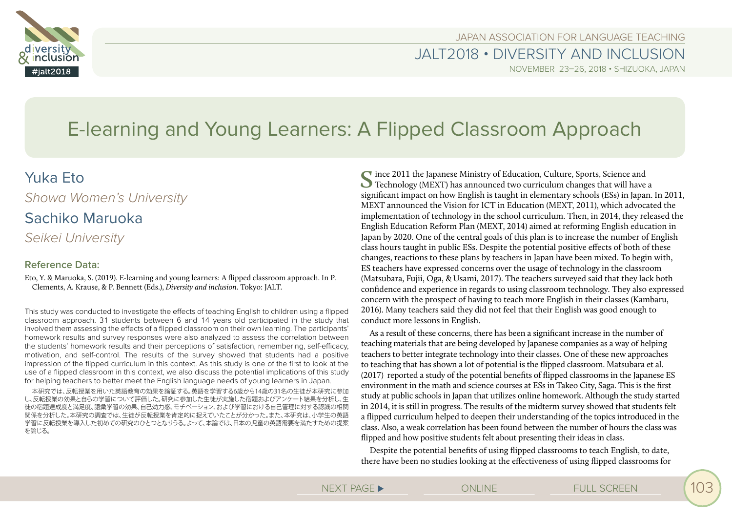

JAPAN ASSOCIATION FOR LANGUAGE TEACHING

JALT2018 • DIVERSITY AND INCLUSION NOVEMBER 23–26, 2018 • SHIZUOKA, JAPAN

# E-learning and Young Learners: A Flipped Classroom Approach

# Yuka Eto

*Showa Women's University*

# Sachiko Maruoka

*Seikei University*

# **Reference Data:**

Eto, Y. & Maruoka, S. (2019). E-learning and young learners: A flipped classroom approach. In P. Clements, A. Krause, & P. Bennett (Eds.), *Diversity and inclusion*. Tokyo: JALT.

This study was conducted to investigate the effects of teaching English to children using a flipped classroom approach. 31 students between 6 and 14 years old participated in the study that involved them assessing the effects of a flipped classroom on their own learning. The participants' homework results and survey responses were also analyzed to assess the correlation between the students' homework results and their perceptions of satisfaction, remembering, self-efficacy, motivation, and self-control. The results of the survey showed that students had a positive impression of the flipped curriculum in this context. As this study is one of the first to look at the use of a flipped classroom in this context, we also discuss the potential implications of this study for helping teachers to better meet the English language needs of young learners in Japan.

本研究では、反転授業を用いた英語教育の効果を論証する。英語を学習する6歳から14歳の31名の生徒が本研究に参加 し、反転授業の効果と自らの学習について評価した。研究に参加した生徒が実施した宿題およびアンケート結果を分析し、生 徒の宿題達成度と満足度、語彙学習の効果、自己効力感、モチベーション、および学習における自己管理に対する認識の相関 関係を分析した。本研究の調査では、生徒が反転授業を肯定的に捉えていたことが分かった。また、本研究は、小学生の英語 学習に反転授業を導入した初めての研究のひとつとなりうる。よって、本論では、日本の児童の英語需要を満たすための提案 を論じる。

Since 2011 the Japanese Ministry of Education, Culture, Sports, Science and Technology (MEXT) has announced two curriculum changes that will have a significant impact on how English is taught in elementary schools (ESs) in Japan. In 2011, MEXT announced the Vision for ICT in Education (MEXT, 2011), which advocated the implementation of technology in the school curriculum. Then, in 2014, they released the English Education Reform Plan (MEXT, 2014) aimed at reforming English education in Japan by 2020. One of the central goals of this plan is to increase the number of English class hours taught in public ESs. Despite the potential positive effects of both of these changes, reactions to these plans by teachers in Japan have been mixed. To begin with, ES teachers have expressed concerns over the usage of technology in the classroom (Matsubara, Fujii, Oga, & Usami, 2017). The teachers surveyed said that they lack both confidence and experience in regards to using classroom technology. They also expressed concern with the prospect of having to teach more English in their classes (Kambaru, 2016). Many teachers said they did not feel that their English was good enough to conduct more lessons in English.

As a result of these concerns, there has been a significant increase in the number of teaching materials that are being developed by Japanese companies as a way of helping teachers to better integrate technology into their classes. One of these new approaches to teaching that has shown a lot of potential is the flipped classroom. Matsubara et al. (2017) reported a study of the potential benefits of flipped classrooms in the Japanese ES environment in the math and science courses at ESs in Takeo City, Saga. This is the first study at public schools in Japan that utilizes online homework. Although the study started in 2014, it is still in progress. The results of the midterm survey showed that students felt a flipped curriculum helped to deepen their understanding of the topics introduced in the class. Also, a weak correlation has been found between the number of hours the class was flipped and how positive students felt about presenting their ideas in class.

Despite the potential benefits of using flipped classrooms to teach English, to date, there have been no studies looking at the effectiveness of using flipped classrooms for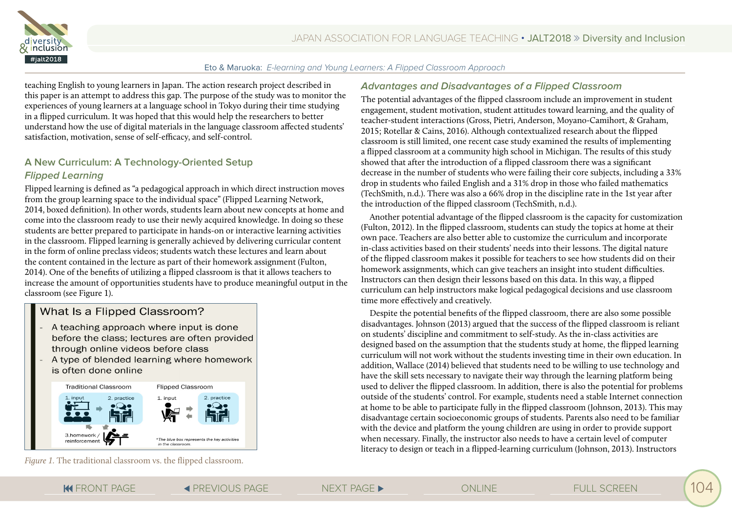

teaching English to young learners in Japan. The action research project described in this paper is an attempt to address this gap. The purpose of the study was to monitor the experiences of young learners at a language school in Tokyo during their time studying in a flipped curriculum. It was hoped that this would help the researchers to better understand how the use of digital materials in the language classroom affected students' satisfaction, motivation, sense of self-efficacy, and self-control.

# **A New Curriculum: A Technology-Oriented Setup Flipped Learning**

Flipped learning is defined as "a pedagogical approach in which direct instruction moves from the group learning space to the individual space" (Flipped Learning Network, 2014, boxed definition). In other words, students learn about new concepts at home and come into the classroom ready to use their newly acquired knowledge. In doing so these students are better prepared to participate in hands-on or interactive learning activities in the classroom. Flipped learning is generally achieved by delivering curricular content in the form of online preclass videos; students watch these lectures and learn about the content contained in the lecture as part of their homework assignment (Fulton, 2014). One of the benefits of utilizing a flipped classroom is that it allows teachers to increase the amount of opportunities students have to produce meaningful output in the classroom (see Figure 1).

# What Is a Flipped Classroom?

- A teaching approach where input is done before the class; lectures are often provided through online videos before class
- A type of blended learning where homework is often done online



*Figure 1.* The traditional classroom vs. the flipped classroom.

#### **Advantages and Disadvantages of a Flipped Classroom**

The potential advantages of the flipped classroom include an improvement in student engagement, student motivation, student attitudes toward learning, and the quality of teacher-student interactions (Gross, Pietri, Anderson, Moyano-Camihort, & Graham, 2015; Rotellar & Cains, 2016). Although contextualized research about the flipped classroom is still limited, one recent case study examined the results of implementing a flipped classroom at a community high school in Michigan. The results of this study showed that after the introduction of a flipped classroom there was a significant decrease in the number of students who were failing their core subjects, including a 33% drop in students who failed English and a 31% drop in those who failed mathematics (TechSmith, n.d.). There was also a 66% drop in the discipline rate in the 1st year after the introduction of the flipped classroom (TechSmith, n.d.).

Another potential advantage of the flipped classroom is the capacity for customization (Fulton, 2012). In the flipped classroom, students can study the topics at home at their own pace. Teachers are also better able to customize the curriculum and incorporate in-class activities based on their students' needs into their lessons. The digital nature of the flipped classroom makes it possible for teachers to see how students did on their homework assignments, which can give teachers an insight into student difficulties. Instructors can then design their lessons based on this data. In this way, a flipped curriculum can help instructors make logical pedagogical decisions and use classroom time more effectively and creatively.

Despite the potential benefits of the flipped classroom, there are also some possible disadvantages. Johnson (2013) argued that the success of the flipped classroom is reliant on students' discipline and commitment to self-study. As the in-class activities are designed based on the assumption that the students study at home, the flipped learning curriculum will not work without the students investing time in their own education. In addition, Wallace (2014) believed that students need to be willing to use technology and have the skill sets necessary to navigate their way through the learning platform being used to deliver the flipped classroom. In addition, there is also the potential for problems outside of the students' control. For example, students need a stable Internet connection at home to be able to participate fully in the flipped classroom (Johnson, 2013). This may disadvantage certain socioeconomic groups of students. Parents also need to be familiar with the device and platform the young children are using in order to provide support when necessary. Finally, the instructor also needs to have a certain level of computer literacy to design or teach in a flipped-learning curriculum (Johnson, 2013). Instructors

**FRONT PAGE ← EXT PAGE ≤ PREVIOUS PAGE NEXT PAGE ► PREVIOUS PAGE ≤ ONLINE**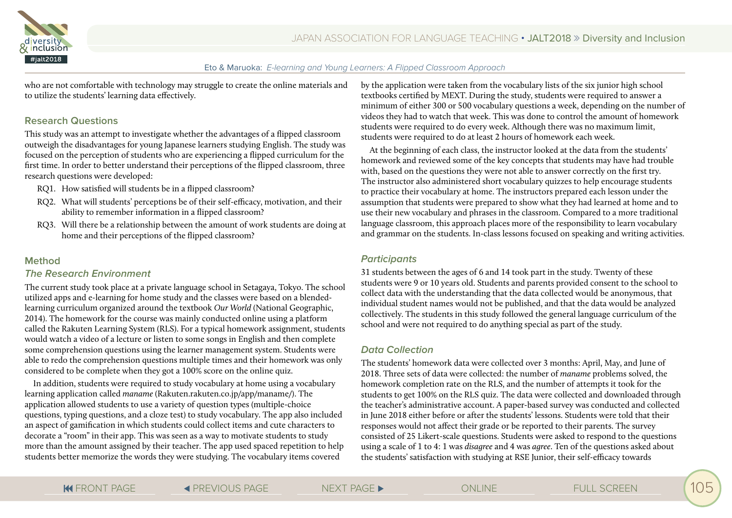

who are not comfortable with technology may struggle to create the online materials and to utilize the students' learning data effectively.

## **Research Questions**

This study was an attempt to investigate whether the advantages of a flipped classroom outweigh the disadvantages for young Japanese learners studying English. The study was focused on the perception of students who are experiencing a flipped curriculum for the first time. In order to better understand their perceptions of the flipped classroom, three research questions were developed:

- RQ1. How satisfied will students be in a flipped classroom?
- RQ2. What will students' perceptions be of their self-efficacy, motivation, and their ability to remember information in a flipped classroom?
- RQ3. Will there be a relationship between the amount of work students are doing at home and their perceptions of the flipped classroom?

### **Method**

#### **The Research Environment**

The current study took place at a private language school in Setagaya, Tokyo. The school utilized apps and e-learning for home study and the classes were based on a blendedlearning curriculum organized around the textbook *Our World* (National Geographic, 2014). The homework for the course was mainly conducted online using a platform called the Rakuten Learning System (RLS). For a typical homework assignment, students would watch a video of a lecture or listen to some songs in English and then complete some comprehension questions using the learner management system. Students were able to redo the comprehension questions multiple times and their homework was only considered to be complete when they got a 100% score on the online quiz.

In addition, students were required to study vocabulary at home using a vocabulary learning application called *maname* (Rakuten.rakuten.co.jp/app/maname/). The application allowed students to use a variety of question types (multiple-choice questions, typing questions, and a cloze test) to study vocabulary. The app also included an aspect of gamification in which students could collect items and cute characters to decorate a "room" in their app. This was seen as a way to motivate students to study more than the amount assigned by their teacher. The app used spaced repetition to help students better memorize the words they were studying. The vocabulary items covered

by the application were taken from the vocabulary lists of the six junior high school textbooks certified by MEXT. During the study, students were required to answer a minimum of either 300 or 500 vocabulary questions a week, depending on the number of videos they had to watch that week. This was done to control the amount of homework students were required to do every week. Although there was no maximum limit, students were required to do at least 2 hours of homework each week.

At the beginning of each class, the instructor looked at the data from the students' homework and reviewed some of the key concepts that students may have had trouble with, based on the questions they were not able to answer correctly on the first try. The instructor also administered short vocabulary quizzes to help encourage students to practice their vocabulary at home. The instructors prepared each lesson under the assumption that students were prepared to show what they had learned at home and to use their new vocabulary and phrases in the classroom. Compared to a more traditional language classroom, this approach places more of the responsibility to learn vocabulary and grammar on the students. In-class lessons focused on speaking and writing activities.

### **Participants**

31 students between the ages of 6 and 14 took part in the study. Twenty of these students were 9 or 10 years old. Students and parents provided consent to the school to collect data with the understanding that the data collected would be anonymous, that individual student names would not be published, and that the data would be analyzed collectively. The students in this study followed the general language curriculum of the school and were not required to do anything special as part of the study.

### **Data Collection**

The students' homework data were collected over 3 months: April, May, and June of 2018. Three sets of data were collected: the number of *maname* problems solved, the homework completion rate on the RLS, and the number of attempts it took for the students to get 100% on the RLS quiz. The data were collected and downloaded through the teacher's administrative account. A paper-based survey was conducted and collected in June 2018 either before or after the students' lessons. Students were told that their responses would not affect their grade or be reported to their parents. The survey consisted of 25 Likert-scale questions. Students were asked to respond to the questions using a scale of 1 to 4: 1 was *disagree* and 4 was *agree*. Ten of the questions asked about the students' satisfaction with studying at RSE Junior, their self-efficacy towards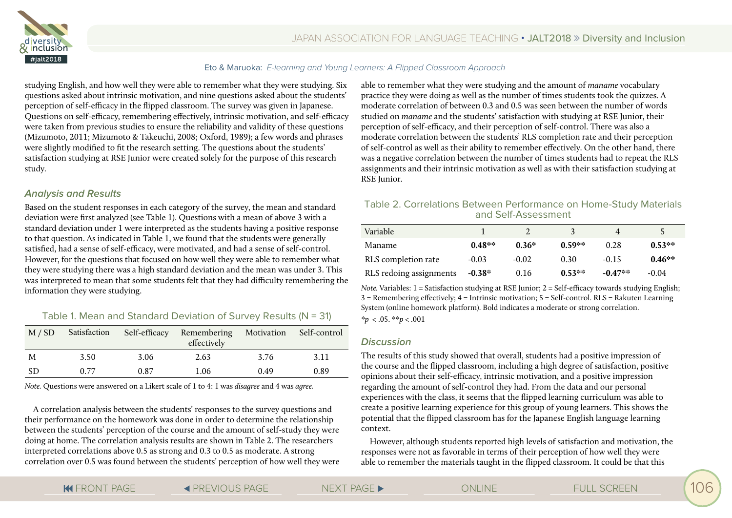

studying English, and how well they were able to remember what they were studying. Six questions asked about intrinsic motivation, and nine questions asked about the students' perception of self-efficacy in the flipped classroom. The survey was given in Japanese. Questions on self-efficacy, remembering effectively, intrinsic motivation, and self-efficacy were taken from previous studies to ensure the reliability and validity of these questions (Mizumoto, 2011; Mizumoto & Takeuchi, 2008; Oxford, 1989); a few words and phrases were slightly modified to fit the research setting. The questions about the students' satisfaction studying at RSE Junior were created solely for the purpose of this research study.

#### **Analysis and Results**

Based on the student responses in each category of the survey, the mean and standard deviation were first analyzed (see Table 1). Questions with a mean of above 3 with a standard deviation under 1 were interpreted as the students having a positive response to that question. As indicated in Table 1, we found that the students were generally satisfied, had a sense of self-efficacy, were motivated, and had a sense of self-control. However, for the questions that focused on how well they were able to remember what they were studying there was a high standard deviation and the mean was under 3. This was interpreted to mean that some students felt that they had difficulty remembering the information they were studying.

# Table 1. Mean and Standard Deviation of Survey Results (N = 31)

| M / SD | Satisfaction | Self-efficacy | Remembering<br>effectively | Motivation Self-control |      |
|--------|--------------|---------------|----------------------------|-------------------------|------|
| M      | 3.50         | 3.06          | 2.63                       | 3.76                    | 3.11 |
| -SD    | 0.77         | 0.87          | 1.06                       | 0.49                    | 0.89 |

*Note.* Questions were answered on a Likert scale of 1 to 4: 1 was *disagree* and 4 was *agree.*

A correlation analysis between the students' responses to the survey questions and their performance on the homework was done in order to determine the relationship between the students' perception of the course and the amount of self-study they were doing at home. The correlation analysis results are shown in Table 2. The researchers interpreted correlations above 0.5 as strong and 0.3 to 0.5 as moderate. A strong correlation over 0.5 was found between the students' perception of how well they were able to remember what they were studying and the amount of *maname* vocabulary practice they were doing as well as the number of times students took the quizzes. A moderate correlation of between 0.3 and 0.5 was seen between the number of words studied on *maname* and the students' satisfaction with studying at RSE Junior, their perception of self-efficacy, and their perception of self-control. There was also a moderate correlation between the students' RLS completion rate and their perception of self-control as well as their ability to remember effectively. On the other hand, there was a negative correlation between the number of times students had to repeat the RLS assignments and their intrinsic motivation as well as with their satisfaction studying at RSE Iunior.

## Table 2. Correlations Between Performance on Home-Study Materials and Self-Assessment

| Variable                |          |         |          |           |          |
|-------------------------|----------|---------|----------|-----------|----------|
| Maname                  | $0.48**$ | $0.36*$ | $0.59**$ | 0.28      | $0.53**$ |
| RLS completion rate     | $-0.03$  | $-0.02$ | 0.30     | $-0.15$   | $0.46**$ |
| RLS redoing assignments | $-0.38*$ | 0.16    | $0.53**$ | $-0.47**$ | $-0.04$  |

*Note.* Variables: 1 = Satisfaction studying at RSE Junior; 2 = Self-efficacy towards studying English;  $3 =$  Remembering effectively;  $4 =$  Intrinsic motivation;  $5 =$  Self-control. RLS = Rakuten Learning System (online homework platform). Bold indicates a moderate or strong correlation.

*\*p* < .05. \*\**p* < .001

### **Discussion**

The results of this study showed that overall, students had a positive impression of the course and the flipped classroom, including a high degree of satisfaction, positive opinions about their self-efficacy, intrinsic motivation, and a positive impression regarding the amount of self-control they had. From the data and our personal experiences with the class, it seems that the flipped learning curriculum was able to create a positive learning experience for this group of young learners. This shows the potential that the flipped classroom has for the Japanese English language learning context.

However, although students reported high levels of satisfaction and motivation, the responses were not as favorable in terms of their perception of how well they were able to remember the materials taught in the flipped classroom. It could be that this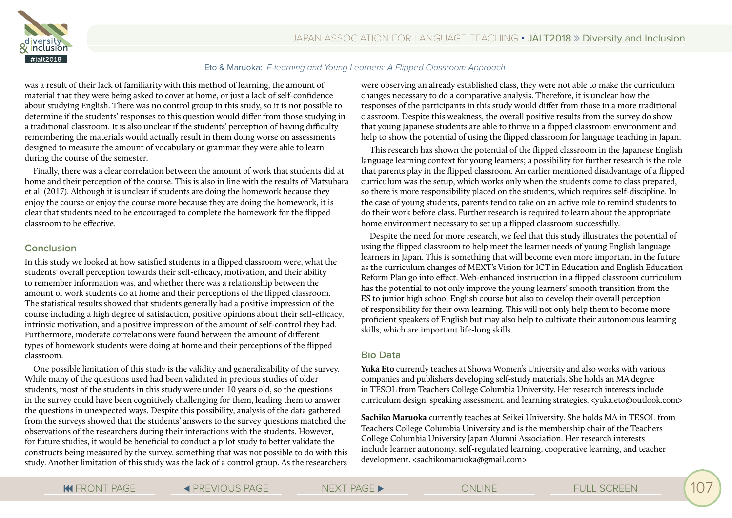

was a result of their lack of familiarity with this method of learning, the amount of material that they were being asked to cover at home, or just a lack of self-confidence about studying English. There was no control group in this study, so it is not possible to determine if the students' responses to this question would differ from those studying in a traditional classroom. It is also unclear if the students' perception of having difficulty remembering the materials would actually result in them doing worse on assessments designed to measure the amount of vocabulary or grammar they were able to learn during the course of the semester.

Finally, there was a clear correlation between the amount of work that students did at home and their perception of the course. This is also in line with the results of Matsubara et al. (2017). Although it is unclear if students are doing the homework because they enjoy the course or enjoy the course more because they are doing the homework, it is clear that students need to be encouraged to complete the homework for the flipped classroom to be effective.

#### **Conclusion**

In this study we looked at how satisfied students in a flipped classroom were, what the students' overall perception towards their self-efficacy, motivation, and their ability to remember information was, and whether there was a relationship between the amount of work students do at home and their perceptions of the flipped classroom. The statistical results showed that students generally had a positive impression of the course including a high degree of satisfaction, positive opinions about their self-efficacy, intrinsic motivation, and a positive impression of the amount of self-control they had. Furthermore, moderate correlations were found between the amount of different types of homework students were doing at home and their perceptions of the flipped classroom.

One possible limitation of this study is the validity and generalizability of the survey. While many of the questions used had been validated in previous studies of older students, most of the students in this study were under 10 years old, so the questions in the survey could have been cognitively challenging for them, leading them to answer the questions in unexpected ways. Despite this possibility, analysis of the data gathered from the surveys showed that the students' answers to the survey questions matched the observations of the researchers during their interactions with the students. However, for future studies, it would be beneficial to conduct a pilot study to better validate the constructs being measured by the survey, something that was not possible to do with this study. Another limitation of this study was the lack of a control group. As the researchers

were observing an already established class, they were not able to make the curriculum changes necessary to do a comparative analysis. Therefore, it is unclear how the responses of the participants in this study would differ from those in a more traditional classroom. Despite this weakness, the overall positive results from the survey do show that young Japanese students are able to thrive in a flipped classroom environment and help to show the potential of using the flipped classroom for language teaching in Japan.

This research has shown the potential of the flipped classroom in the Japanese English language learning context for young learners; a possibility for further research is the role that parents play in the flipped classroom. An earlier mentioned disadvantage of a flipped curriculum was the setup, which works only when the students come to class prepared, so there is more responsibility placed on the students, which requires self-discipline. In the case of young students, parents tend to take on an active role to remind students to do their work before class. Further research is required to learn about the appropriate home environment necessary to set up a flipped classroom successfully.

Despite the need for more research, we feel that this study illustrates the potential of using the flipped classroom to help meet the learner needs of young English language learners in Japan. This is something that will become even more important in the future as the curriculum changes of MEXT's Vision for ICT in Education and English Education Reform Plan go into effect. Web-enhanced instruction in a flipped classroom curriculum has the potential to not only improve the young learners' smooth transition from the ES to junior high school English course but also to develop their overall perception of responsibility for their own learning. This will not only help them to become more proficient speakers of English but may also help to cultivate their autonomous learning skills, which are important life-long skills.

### **Bio Data**

**Yuka Eto** currently teaches at Showa Women's University and also works with various companies and publishers developing self-study materials. She holds an MA degree in TESOL from Teachers College Columbia University. Her research interests include curriculum design, speaking assessment, and learning strategies. <yuka.eto@outlook.com>

**Sachiko Maruoka** currently teaches at Seikei University. She holds MA in TESOL from Teachers College Columbia University and is the membership chair of the Teachers College Columbia University Japan Alumni Association. Her research interests include learner autonomy, self-regulated learning, cooperative learning, and teacher development. <sachikomaruoka@gmail.com>